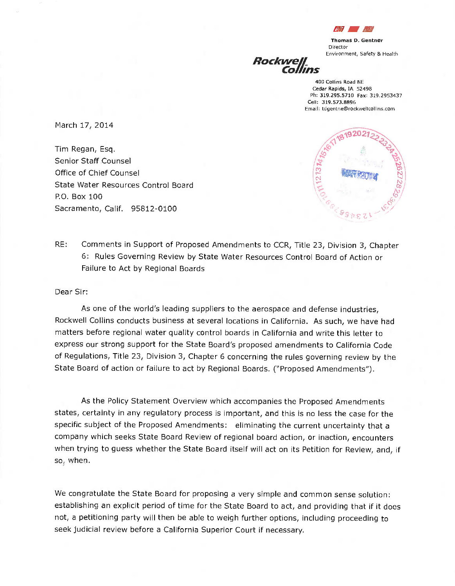

Thomas D. Gentner Director

Environment, Safety & Health Rockwell Collins

> 400 Collins Road NE Cedar Rapids, IA 52498 Ph: 319.295.5710 Fax: 319.2953437 Cell: 319.573.8896 Email: tdgentne @rockwellcollins.com

March 17, 2014

Tim Regan, Esq. Senior Staff Counsel Office of Chief Counsel State Water Resources Control Board P.O. Box 100 Sacramento, Calif. 95812-0100



RE: Comments in Support of Proposed Amendments to CCR, Title 23, Division 3, Chapter 6: Rules Governing Review by State Water Resources Control Board of Action or Failure to Act by Regional Boards

Dear Sir:

As one of the world's leading suppliers to the aerospace and defense industries, Rockwell Collins conducts business at several locations in California. As such, we have had matters before regional water quality control boards in California and write this letter to express our strong support for the State Board's proposed amendments to California Code of Regulations, Title 23, Division 3, Chapter 6 concerning the rules governing review by the State Board of action or failure to act by Regional Boards. ("Proposed Amendments").

As the Policy Statement Overview which accompanies the Proposed Amendments states, certainty in any regulatory process is important, and this is no less the case for the specific subject of the Proposed Amendments: eliminating the current uncertainty that <sup>a</sup> company which seeks State Board Review of regional board action, or inaction, encounters when trying to guess whether the State Board itself will act on its Petition for Review, and, if so, when.

We congratulate the State Board for proposing a very simple and common sense solution: establishing an explicit period of time for the State Board to act, and providing that if it does not, a petitioning party will then be able to weigh further options, including proceeding to seek judicial review before a California Superior Court if necessary.